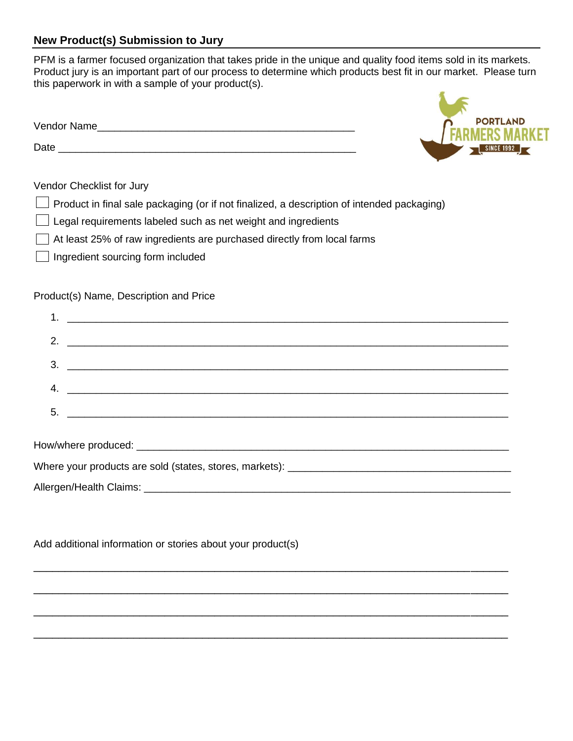## **New Product(s) Submission to Jury**

PFM is a farmer focused organization that takes pride in the unique and quality food items sold in its markets. Product jury is an important part of our process to determine which products best fit in our market. Please turn this paperwork in with a sample of your product(s).

**PORTLAND** 

| Vendor Name |  |
|-------------|--|
| Date        |  |

## Vendor Checklist for Jury

- Product in final sale packaging (or if not finalized, a description of intended packaging)
- Legal requirements labeled such as net weight and ingredients
- At least 25% of raw ingredients are purchased directly from local farms
- Ingredient sourcing form included

## Product(s) Name, Description and Price

|  | $\frac{3}{2}$                                     |  |  |  |  |
|--|---------------------------------------------------|--|--|--|--|
|  | 4. $\overline{\phantom{a}}$                       |  |  |  |  |
|  | $\overline{\mathbf{5}}$ . $\overline{\mathbf{5}}$ |  |  |  |  |
|  |                                                   |  |  |  |  |
|  |                                                   |  |  |  |  |
|  |                                                   |  |  |  |  |
|  |                                                   |  |  |  |  |

\_\_\_\_\_\_\_\_\_\_\_\_\_\_\_\_\_\_\_\_\_\_\_\_\_\_\_\_\_\_\_\_\_\_\_\_\_\_\_\_\_\_\_\_\_\_\_\_\_\_\_\_\_\_\_\_\_\_\_\_\_\_\_\_\_\_\_\_\_\_\_\_\_\_\_\_

\_\_\_\_\_\_\_\_\_\_\_\_\_\_\_\_\_\_\_\_\_\_\_\_\_\_\_\_\_\_\_\_\_\_\_\_\_\_\_\_\_\_\_\_\_\_\_\_\_\_\_\_\_\_\_\_\_\_\_\_\_\_\_\_\_\_\_\_\_\_\_\_\_\_\_\_

\_\_\_\_\_\_\_\_\_\_\_\_\_\_\_\_\_\_\_\_\_\_\_\_\_\_\_\_\_\_\_\_\_\_\_\_\_\_\_\_\_\_\_\_\_\_\_\_\_\_\_\_\_\_\_\_\_\_\_\_\_\_\_\_\_\_\_\_\_\_\_\_\_\_\_\_

\_\_\_\_\_\_\_\_\_\_\_\_\_\_\_\_\_\_\_\_\_\_\_\_\_\_\_\_\_\_\_\_\_\_\_\_\_\_\_\_\_\_\_\_\_\_\_\_\_\_\_\_\_\_\_\_\_\_\_\_\_\_\_\_\_\_\_\_\_\_\_\_\_\_\_\_

Allergen/Health Claims: \_\_\_\_\_\_\_\_\_\_\_\_\_\_\_\_\_\_\_\_\_\_\_\_\_\_\_\_\_\_\_\_\_\_\_\_\_\_\_\_\_\_\_\_\_\_\_\_\_\_\_\_\_\_\_\_\_\_\_\_\_\_\_\_

Add additional information or stories about your product(s)